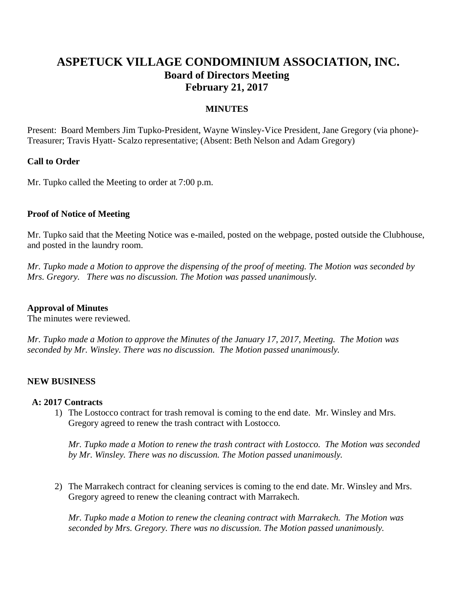# **ASPETUCK VILLAGE CONDOMINIUM ASSOCIATION, INC. Board of Directors Meeting February 21, 2017**

## **MINUTES**

Present: Board Members Jim Tupko-President, Wayne Winsley-Vice President, Jane Gregory (via phone)- Treasurer; Travis Hyatt- Scalzo representative; (Absent: Beth Nelson and Adam Gregory)

## **Call to Order**

Mr. Tupko called the Meeting to order at 7:00 p.m.

#### **Proof of Notice of Meeting**

Mr. Tupko said that the Meeting Notice was e-mailed, posted on the webpage, posted outside the Clubhouse, and posted in the laundry room.

*Mr. Tupko made a Motion to approve the dispensing of the proof of meeting. The Motion was seconded by Mrs. Gregory. There was no discussion. The Motion was passed unanimously.* 

#### **Approval of Minutes**

The minutes were reviewed.

*Mr. Tupko made a Motion to approve the Minutes of the January 17, 2017, Meeting. The Motion was seconded by Mr. Winsley. There was no discussion. The Motion passed unanimously.*

## **NEW BUSINESS**

#### **A: 2017 Contracts**

1) The Lostocco contract for trash removal is coming to the end date. Mr. Winsley and Mrs. Gregory agreed to renew the trash contract with Lostocco.

*Mr. Tupko made a Motion to renew the trash contract with Lostocco. The Motion was seconded by Mr. Winsley. There was no discussion. The Motion passed unanimously.* 

2) The Marrakech contract for cleaning services is coming to the end date. Mr. Winsley and Mrs. Gregory agreed to renew the cleaning contract with Marrakech.

*Mr. Tupko made a Motion to renew the cleaning contract with Marrakech. The Motion was seconded by Mrs. Gregory. There was no discussion. The Motion passed unanimously.*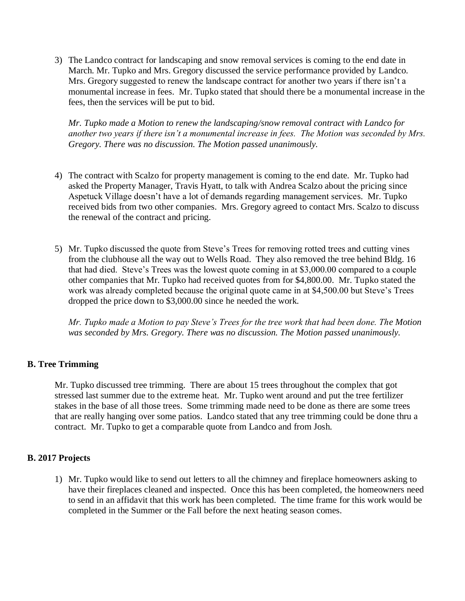3) The Landco contract for landscaping and snow removal services is coming to the end date in March. Mr. Tupko and Mrs. Gregory discussed the service performance provided by Landco. Mrs. Gregory suggested to renew the landscape contract for another two years if there isn't a monumental increase in fees. Mr. Tupko stated that should there be a monumental increase in the fees, then the services will be put to bid.

*Mr. Tupko made a Motion to renew the landscaping/snow removal contract with Landco for another two years if there isn't a monumental increase in fees. The Motion was seconded by Mrs. Gregory. There was no discussion. The Motion passed unanimously.* 

- 4) The contract with Scalzo for property management is coming to the end date. Mr. Tupko had asked the Property Manager, Travis Hyatt, to talk with Andrea Scalzo about the pricing since Aspetuck Village doesn't have a lot of demands regarding management services. Mr. Tupko received bids from two other companies. Mrs. Gregory agreed to contact Mrs. Scalzo to discuss the renewal of the contract and pricing.
- 5) Mr. Tupko discussed the quote from Steve's Trees for removing rotted trees and cutting vines from the clubhouse all the way out to Wells Road. They also removed the tree behind Bldg. 16 that had died. Steve's Trees was the lowest quote coming in at \$3,000.00 compared to a couple other companies that Mr. Tupko had received quotes from for \$4,800.00. Mr. Tupko stated the work was already completed because the original quote came in at \$4,500.00 but Steve's Trees dropped the price down to \$3,000.00 since he needed the work.

*Mr. Tupko made a Motion to pay Steve's Trees for the tree work that had been done. The Motion was seconded by Mrs. Gregory. There was no discussion. The Motion passed unanimously.* 

# **B. Tree Trimming**

Mr. Tupko discussed tree trimming. There are about 15 trees throughout the complex that got stressed last summer due to the extreme heat. Mr. Tupko went around and put the tree fertilizer stakes in the base of all those trees. Some trimming made need to be done as there are some trees that are really hanging over some patios. Landco stated that any tree trimming could be done thru a contract. Mr. Tupko to get a comparable quote from Landco and from Josh.

# **B. 2017 Projects**

1) Mr. Tupko would like to send out letters to all the chimney and fireplace homeowners asking to have their fireplaces cleaned and inspected. Once this has been completed, the homeowners need to send in an affidavit that this work has been completed. The time frame for this work would be completed in the Summer or the Fall before the next heating season comes.